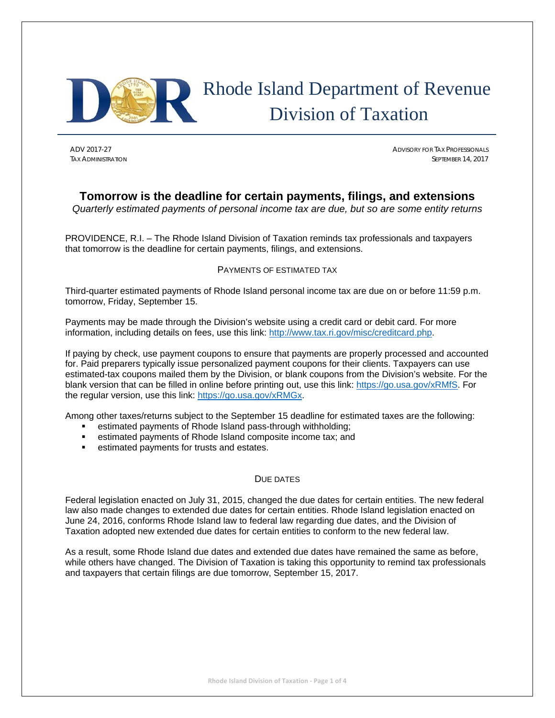

# Rhode Island Department of Revenue Division of Taxation

ADV 2017-27 ADVISORY FOR TAX PROFESSIONALS TAX ADMINISTRATION SEPTEMBER 14, 2017

# **Tomorrow is the deadline for certain payments, filings, and extensions**

*Quarterly estimated payments of personal income tax are due, but so are some entity returns*

PROVIDENCE, R.I. – The Rhode Island Division of Taxation reminds tax professionals and taxpayers that tomorrow is the deadline for certain payments, filings, and extensions.

# PAYMENTS OF ESTIMATED TAX

Third-quarter estimated payments of Rhode Island personal income tax are due on or before 11:59 p.m. tomorrow, Friday, September 15.

Payments may be made through the Division's website using a credit card or debit card. For more information, including details on fees, use this link: http://www.tax.ri.gov/misc/creditcard.php.

If paying by check, use payment coupons to ensure that payments are properly processed and accounted for. Paid preparers typically issue personalized payment coupons for their clients. Taxpayers can use estimated-tax coupons mailed them by the Division, or blank coupons from the Division's website. For the blank version that can be filled in online before printing out, use this link: https://go.usa.gov/xRMfS. For the regular version, use this link: https://go.usa.gov/xRMGx.

Among other taxes/returns subject to the September 15 deadline for estimated taxes are the following:

- estimated payments of Rhode Island pass-through withholding;
- estimated payments of Rhode Island composite income tax; and
- estimated payments for trusts and estates.

# DUE DATES

Federal legislation enacted on July 31, 2015, changed the due dates for certain entities. The new federal law also made changes to extended due dates for certain entities. Rhode Island legislation enacted on June 24, 2016, conforms Rhode Island law to federal law regarding due dates, and the Division of Taxation adopted new extended due dates for certain entities to conform to the new federal law.

As a result, some Rhode Island due dates and extended due dates have remained the same as before, while others have changed. The Division of Taxation is taking this opportunity to remind tax professionals and taxpayers that certain filings are due tomorrow, September 15, 2017.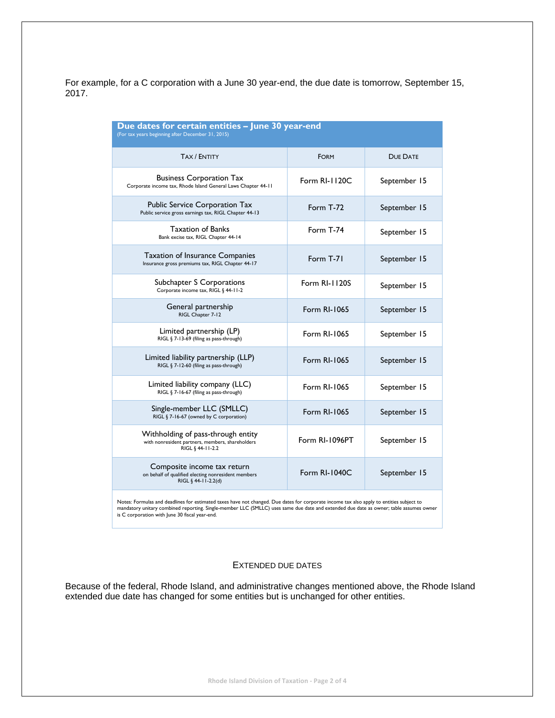For example, for a C corporation with a June 30 year-end, the due date is tomorrow, September 15, 2017.

| Due dates for certain entities - June 30 year-end<br>(For tax years beginning after December 31, 2015)                                   |                      |              |  |  |
|------------------------------------------------------------------------------------------------------------------------------------------|----------------------|--------------|--|--|
| <b>TAX / ENTITY</b>                                                                                                                      | <b>FORM</b>          | DUE DATE     |  |  |
| <b>Business Corporation Tax</b><br>Corporate income tax, Rhode Island General Laws Chapter 44-11                                         | Form RI-1120C        | September 15 |  |  |
| <b>Public Service Corporation Tax</b><br>Public service gross earnings tax, RIGL Chapter 44-13                                           | Form T-72            | September 15 |  |  |
| Taxation of Banks<br>Bank excise tax, RIGL Chapter 44-14                                                                                 | Form T-74            | September 15 |  |  |
| <b>Taxation of Insurance Companies</b><br>Insurance gross premiums tax, RIGL Chapter 44-17                                               | Form T-71            | September 15 |  |  |
| Subchapter S Corporations<br>Corporate income tax, RIGL § 44-11-2                                                                        | <b>Form RI-1120S</b> | September 15 |  |  |
| General partnership<br>RIGL Chapter 7-12                                                                                                 | Form RI-1065         | September 15 |  |  |
| Limited partnership (LP)<br>RIGL § 7-13-69 (filing as pass-through)                                                                      | Form RI-1065         | September 15 |  |  |
| Limited liability partnership (LLP)<br>RIGL § 7-12-60 (filing as pass-through)                                                           | Form RI-1065         | September 15 |  |  |
| Limited liability company (LLC)<br>RIGL § 7-16-67 (filing as pass-through)                                                               | Form RI-1065         | September 15 |  |  |
| Single-member LLC (SMLLC)<br>RIGL § 7-16-67 (owned by C corporation)                                                                     | Form RI-1065         | September 15 |  |  |
| Withholding of pass-through entity<br>with nonresident partners, members, shareholders<br>RIGL § 44-11-2.2                               | Form RI-1096PT       | September 15 |  |  |
| Composite income tax return<br>on behalf of qualified electing nonresident members<br>RIGL § 44-11-2.2(d)                                | <b>Form RI-1040C</b> | September 15 |  |  |
| Notes: Formulas and deadlines for estimated taxes have not changed. Due dates for corporate income tax also apply to entities subject to |                      |              |  |  |

Notes: Formulas and deadlines for estimated taxes have not changed. Due dates for corporate income tax also apply to entities subject to<br>mandatory unitary combined reporting. Single-member LLC (SMLLC) uses same due date an

### EXTENDED DUE DATES

Because of the federal, Rhode Island, and administrative changes mentioned above, the Rhode Island extended due date has changed for some entities but is unchanged for other entities.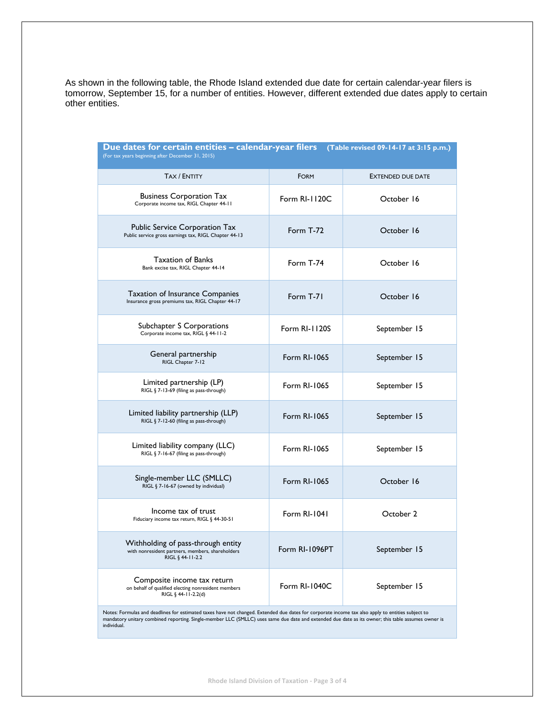As shown in the following table, the Rhode Island extended due date for certain calendar-year filers is tomorrow, September 15, for a number of entities. However, different extended due dates apply to certain other entities.

| Due dates for certain entities – calendar-year filers<br>(Table revised 09-14-17 at 3:15 p.m.)<br>(For tax years beginning after December 31, 2015)                                                                                                                                                                    |                |                          |  |  |
|------------------------------------------------------------------------------------------------------------------------------------------------------------------------------------------------------------------------------------------------------------------------------------------------------------------------|----------------|--------------------------|--|--|
| <b>TAX / ENTITY</b>                                                                                                                                                                                                                                                                                                    | <b>FORM</b>    | <b>EXTENDED DUE DATE</b> |  |  |
| <b>Business Corporation Tax</b><br>Corporate income tax, RIGL Chapter 44-11                                                                                                                                                                                                                                            | Form RI-1120C  | October 16               |  |  |
| Public Service Corporation Tax<br>Public service gross earnings tax, RIGL Chapter 44-13                                                                                                                                                                                                                                | Form T-72      | October 16               |  |  |
| <b>Taxation of Banks</b><br>Bank excise tax, RIGL Chapter 44-14                                                                                                                                                                                                                                                        | Form T-74      | October 16               |  |  |
| <b>Taxation of Insurance Companies</b><br>Insurance gross premiums tax, RIGL Chapter 44-17                                                                                                                                                                                                                             | Form T-71      | October 16               |  |  |
| Subchapter S Corporations<br>Corporate income tax, RIGL § 44-11-2                                                                                                                                                                                                                                                      | Form RI-1120S  | September 15             |  |  |
| General partnership<br>RIGL Chapter 7-12                                                                                                                                                                                                                                                                               | Form RI-1065   | September 15             |  |  |
| Limited partnership (LP)<br>RIGL § 7-13-69 (filing as pass-through)                                                                                                                                                                                                                                                    | Form RI-1065   | September 15             |  |  |
| Limited liability partnership (LLP)<br>RIGL § 7-12-60 (filing as pass-through)                                                                                                                                                                                                                                         | Form RI-1065   | September 15             |  |  |
| Limited liability company (LLC)<br>RIGL § 7-16-67 (filing as pass-through)                                                                                                                                                                                                                                             | Form RI-1065   | September 15             |  |  |
| Single-member LLC (SMLLC)<br>RIGL § 7-16-67 (owned by individual)                                                                                                                                                                                                                                                      | Form RI-1065   | October 16               |  |  |
| Income tax of trust<br>Fiduciary income tax return, RIGL § 44-30-51                                                                                                                                                                                                                                                    | Form RI-1041   | October 2                |  |  |
| Withholding of pass-through entity<br>with nonresident partners, members, shareholders<br>RIGL § 44-11-2.2                                                                                                                                                                                                             | Form RI-1096PT | September 15             |  |  |
| Composite income tax return<br>on behalf of qualified electing nonresident members<br>RIGL § 44-11-2.2(d)                                                                                                                                                                                                              | Form RI-1040C  | September 15             |  |  |
| Notes: Formulas and deadlines for estimated taxes have not changed. Extended due dates for corporate income tax also apply to entities subject to<br>mandatory unitary combined reporting. Single-member LLC (SMLLC) uses same due date and extended due date as its owner; this table assumes owner is<br>individual. |                |                          |  |  |